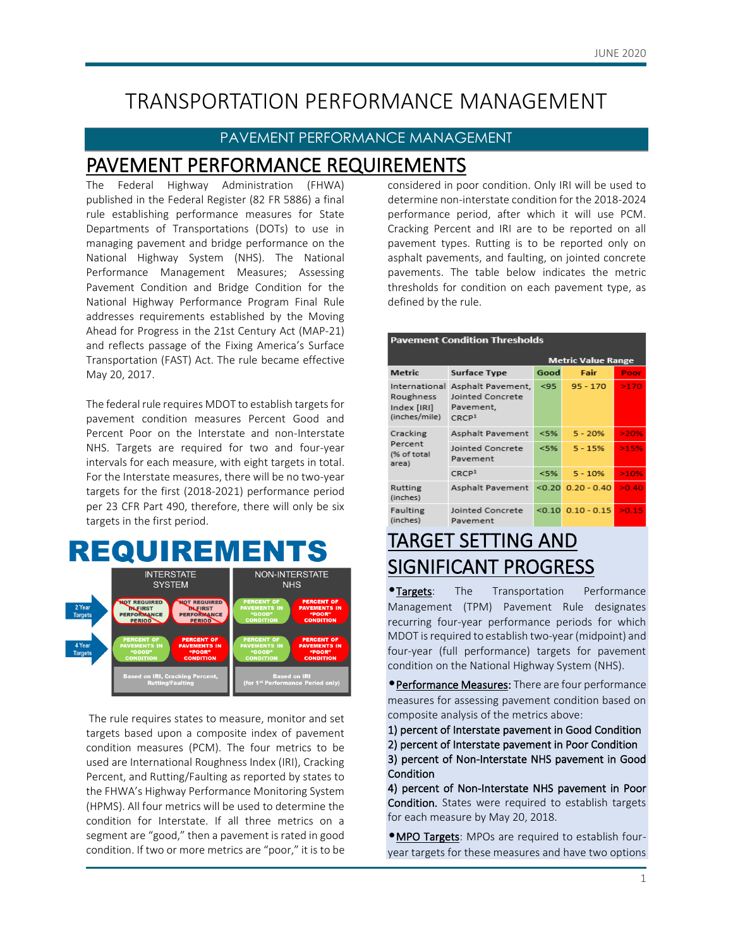## TRANSPORTATION PERFORMANCE MANAGEMENT

### PAVEMENT PERFORMANCE MANAGEMENT

## PAVEMENT PERFORMANCE REQUIREMENTS

The Federal Highway Administration (FHWA) published in the Federal Register (82 FR 5886) a final rule establishing performance measures for State Departments of Transportations (DOTs) to use in managing pavement and bridge performance on the National Highway System (NHS). The National Performance Management Measures; Assessing Pavement Condition and Bridge Condition for the National Highway Performance Program Final Rule addresses requirements established by the Moving Ahead for Progress in the 21st Century Act (MAP-21) and reflects passage of the Fixing America's Surface Transportation (FAST) Act. The rule became effective May 20, 2017.

The federal rule requires MDOT to establish targets for pavement condition measures Percent Good and Percent Poor on the Interstate and non-Interstate NHS. Targets are required for two and four-year intervals for each measure, with eight targets in total. For the Interstate measures, there will be no two-year targets for the first (2018-2021) performance period per 23 CFR Part 490, therefore, there will only be six targets in the first period.

## REQUIREMENTS



The rule requires states to measure, monitor and set targets based upon a composite index of pavement condition measures (PCM). The four metrics to be used are International Roughness Index (IRI), Cracking Percent, and Rutting/Faulting as reported by states to the FHWA's Highway Performance Monitoring System (HPMS). All four metrics will be used to determine the condition for Interstate. If all three metrics on a segment are "good," then a pavement is rated in good condition. If two or more metrics are "poor," it is to be considered in poor condition. Only IRI will be used to determine non-interstate condition for the 2018-2024 performance period, after which it will use PCM. Cracking Percent and IRI are to be reported on all pavement types. Rutting is to be reported only on asphalt pavements, and faulting, on jointed concrete pavements. The table below indicates the metric thresholds for condition on each pavement type, as defined by the rule.

#### **Pavement Condition Thresholds**

|                                                            |                                                                         | <b>Metric Value Range</b> |               |       |  |  |
|------------------------------------------------------------|-------------------------------------------------------------------------|---------------------------|---------------|-------|--|--|
| Metric                                                     | <b>Surface Type</b>                                                     | Good                      | Fair          | Poor  |  |  |
| International<br>Roughness<br>Index [IRI]<br>(inches/mile) | Asphalt Pavement,<br>Jointed Concrete<br>Pavement,<br>CRCP <sup>1</sup> | < 95                      | $95 - 170$    | >170  |  |  |
| Cracking<br>Percent<br>(% of total<br>area)                | Asphalt Pavement                                                        | < 5%                      | $5 - 20%$     | >20%  |  |  |
|                                                            | Jointed Concrete<br>Pavement                                            | $<$ 5%                    | $5 - 15%$     | >15%  |  |  |
|                                                            | CRCP <sup>1</sup>                                                       | $<$ 5%                    | $5 - 10%$     | >10%  |  |  |
| Rutting<br>(inches)                                        | Asphalt Pavement                                                        |                           | $0.20 - 0.40$ | >0.40 |  |  |
| Faulting<br>(inches)                                       | Jointed Concrete<br>Pavement                                            | $<$ 0.10                  | $0.10 - 0.15$ | >0.15 |  |  |

## TARGET SETTING AND SIGNIFICANT PROGRESS

*Targets*: The Transportation Performance Management (TPM) Pavement Rule designates recurring four-year performance periods for which MDOT is required to establish two-year (midpoint) and four-year (full performance) targets for pavement condition on the National Highway System (NHS).

**• Performance Measures:** There are four performance measures for assessing pavement condition based on composite analysis of the metrics above:

- 1) percent of Interstate pavement in Good Condition
- 2) percent of Interstate pavement in Poor Condition
- 3) percent of Non-Interstate NHS pavement in Good Condition

4) percent of Non-Interstate NHS pavement in Poor Condition. States were required to establish targets for each measure by May 20, 2018.

**•MPO Targets:** MPOs are required to establish fouryear targets for these measures and have two options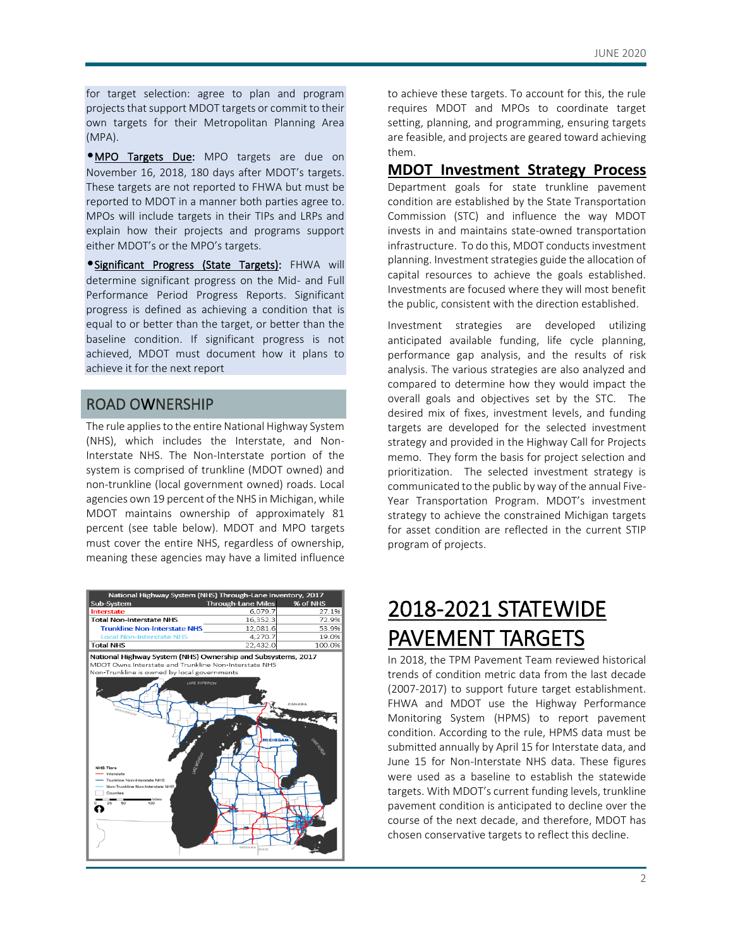for target selection: agree to plan and program projects that support MDOT targets or commit to their own targets for their Metropolitan Planning Area (MPA).

**MPO Targets Due:** MPO targets are due on November 16, 2018, 180 days after MDOT's targets. These targets are not reported to FHWA but must be reported to MDOT in a manner both parties agree to. MPOs will include targets in their TIPs and LRPs and explain how their projects and programs support either MDOT's or the MPO's targets.

•Significant Progress (State Targets): FHWA will determine significant progress on the Mid- and Full Performance Period Progress Reports. Significant progress is defined as achieving a condition that is equal to or better than the target, or better than the baseline condition. If significant progress is not achieved, MDOT must document how it plans to achieve it for the next report

### ROAD OWNERSHIP

The rule applies to the entire National Highway System (NHS), which includes the Interstate, and Non-Interstate NHS. The Non-Interstate portion of the system is comprised of trunkline (MDOT owned) and non-trunkline (local government owned) roads. Local agencies own 19 percent of the NHS in Michigan, while MDOT maintains ownership of approximately 81 percent (see table below). MDOT and MPO targets must cover the entire NHS, regardless of ownership, meaning these agencies may have a limited influence



to achieve these targets. To account for this, the rule requires MDOT and MPOs to coordinate target setting, planning, and programming, ensuring targets are feasible, and projects are geared toward achieving them.

### **MDOT Investment Strategy Process**

Department goals for state trunkline pavement condition are established by the State Transportation Commission (STC) and influence the way MDOT invests in and maintains state-owned transportation infrastructure. To do this, MDOT conducts investment planning. Investment strategies guide the allocation of capital resources to achieve the goals established. Investments are focused where they will most benefit the public, consistent with the direction established.

Investment strategies are developed utilizing anticipated available funding, life cycle planning, performance gap analysis, and the results of risk analysis. The various strategies are also analyzed and compared to determine how they would impact the overall goals and objectives set by the STC. The desired mix of fixes, investment levels, and funding targets are developed for the selected investment strategy and provided in the Highway Call for Projects memo. They form the basis for project selection and prioritization. The selected investment strategy is communicated to the public by way of the annual Five-Year Transportation Program. MDOT's investment strategy to achieve the constrained Michigan targets for asset condition are reflected in the current STIP program of projects.

## 2018-2021 STATEWIDE PAVEMENT TARGETS

In 2018, the TPM Pavement Team reviewed historical trends of condition metric data from the last decade (2007-2017) to support future target establishment. FHWA and MDOT use the Highway Performance Monitoring System (HPMS) to report pavement condition. According to the rule, HPMS data must be submitted annually by April 15 for Interstate data, and June 15 for Non-Interstate NHS data. These figures were used as a baseline to establish the statewide targets. With MDOT's current funding levels, trunkline pavement condition is anticipated to decline over the course of the next decade, and therefore, MDOT has chosen conservative targets to reflect this decline.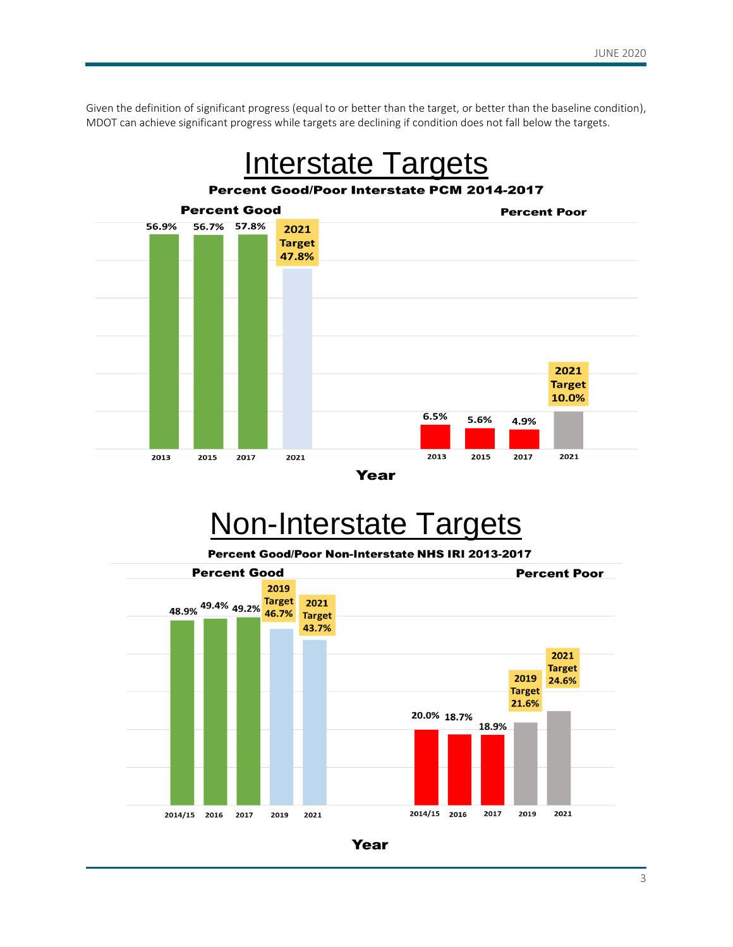Given the definition of significant progress (equal to or better than the target, or better than the baseline condition), MDOT can achieve significant progress while targets are declining if condition does not fall below the targets.



# Non-Interstate Targets

Percent Good/Poor Non-Interstate NHS IRI 2013-2017



Year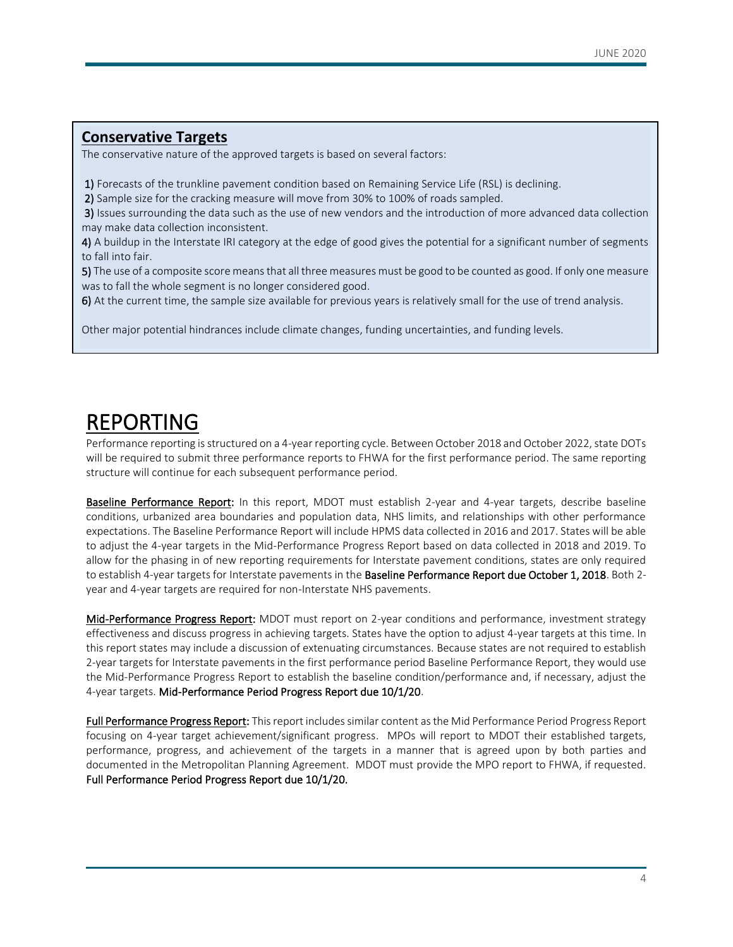### **Conservative Targets**

The conservative nature of the approved targets is based on several factors:

1) Forecasts of the trunkline pavement condition based on Remaining Service Life (RSL) is declining.

2) Sample size for the cracking measure will move from 30% to 100% of roads sampled.

 3) Issues surrounding the data such as the use of new vendors and the introduction of more advanced data collection may make data collection inconsistent.

4) A buildup in the Interstate IRI category at the edge of good gives the potential for a significant number of segments to fall into fair.

5) The use of a composite score means that all three measures must be good to be counted as good. If only one measure was to fall the whole segment is no longer considered good.

6) At the current time, the sample size available for previous years is relatively small for the use of trend analysis.

Other major potential hindrances include climate changes, funding uncertainties, and funding levels.

## REPORTING

Performance reporting isstructured on a 4-year reporting cycle. Between October 2018 and October 2022, state DOTs will be required to submit three performance reports to FHWA for the first performance period. The same reporting structure will continue for each subsequent performance period.

Baseline Performance Report: In this report, MDOT must establish 2-year and 4-year targets, describe baseline conditions, urbanized area boundaries and population data, NHS limits, and relationships with other performance expectations. The Baseline Performance Report will include HPMS data collected in 2016 and 2017. States will be able to adjust the 4-year targets in the Mid-Performance Progress Report based on data collected in 2018 and 2019. To allow for the phasing in of new reporting requirements for Interstate pavement conditions, states are only required to establish 4-year targets for Interstate pavements in the Baseline Performance Report due October 1, 2018. Both 2year and 4-year targets are required for non-Interstate NHS pavements.

Mid-Performance Progress Report: MDOT must report on 2-year conditions and performance, investment strategy effectiveness and discuss progress in achieving targets. States have the option to adjust 4-year targets at this time. In this report states may include a discussion of extenuating circumstances. Because states are not required to establish 2-year targets for Interstate pavements in the first performance period Baseline Performance Report, they would use the Mid-Performance Progress Report to establish the baseline condition/performance and, if necessary, adjust the 4-year targets. Mid-Performance Period Progress Report due 10/1/20.

Full Performance Progress Report: This report includes similar content as the Mid Performance Period Progress Report focusing on 4-year target achievement/significant progress. MPOs will report to MDOT their established targets, performance, progress, and achievement of the targets in a manner that is agreed upon by both parties and documented in the Metropolitan Planning Agreement. MDOT must provide the MPO report to FHWA, if requested. Full Performance Period Progress Report due 10/1/20.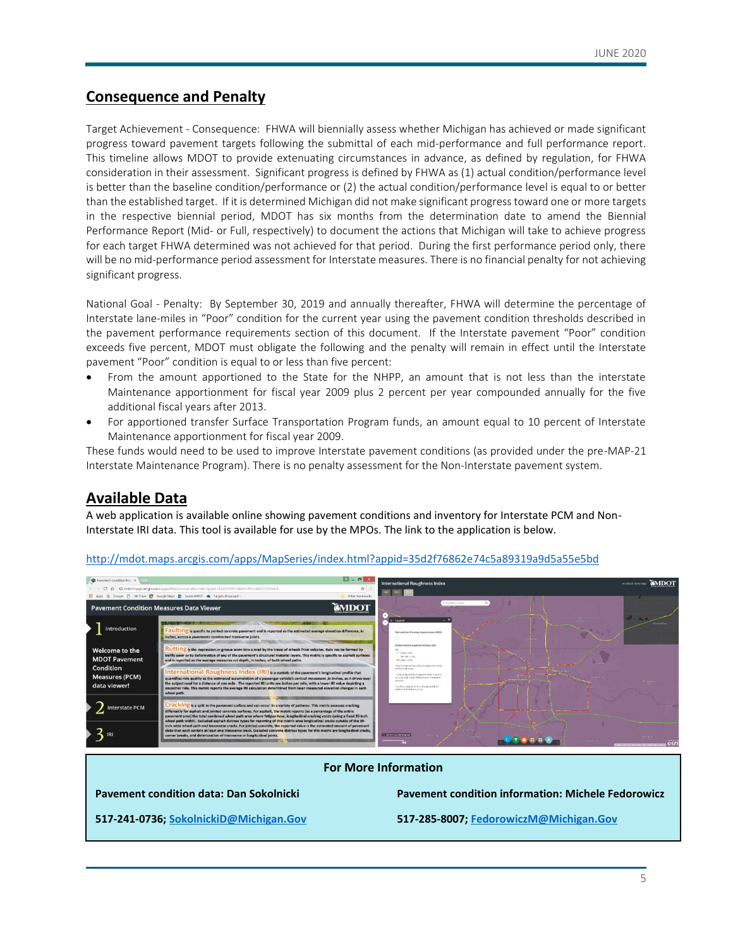### **Consequence and Penalty**

Target Achievement - Consequence: FHWA will biennially assess whether Michigan has achieved or made significant progress toward pavement targets following the submittal of each mid-performance and full performance report. This timeline allows MDOT to provide extenuating circumstances in advance, as defined by regulation, for FHWA consideration in their assessment. Significant progress is defined by FHWA as (1) actual condition/performance level is better than the baseline condition/performance or (2) the actual condition/performance level is equal to or better than the established target. If it is determined Michigan did not make significant progress toward one or more targets in the respective biennial period, MDOT has six months from the determination date to amend the Biennial Performance Report (Mid- or Full, respectively) to document the actions that Michigan will take to achieve progress for each target FHWA determined was not achieved for that period. During the first performance period only, there will be no mid-performance period assessment for Interstate measures. There is no financial penalty for not achieving significant progress.

National Goal - Penalty: By September 30, 2019 and annually thereafter, FHWA will determine the percentage of Interstate lane-miles in "Poor" condition for the current year using the pavement condition thresholds described in the pavement performance requirements section of this document. If the Interstate pavement "Poor" condition exceeds five percent, MDOT must obligate the following and the penalty will remain in effect until the Interstate pavement "Poor" condition is equal to or less than five percent:

- From the amount apportioned to the State for the NHPP, an amount that is not less than the interstate Maintenance apportionment for fiscal year 2009 plus 2 percent per year compounded annually for the five additional fiscal years after 2013.
- For apportioned transfer Surface Transportation Program funds, an amount equal to 10 percent of Interstate Maintenance apportionment for fiscal year 2009.

These funds would need to be used to improve Interstate pavement conditions (as provided under the pre-MAP-21 Interstate Maintenance Program). There is no penalty assessment for the Non-Interstate pavement system.

### **Available Data**

A web application is available online showing pavement conditions and inventory for Interstate PCM and Non-Interstate IRI data. This tool is available for use by the MPOs. The link to the application is below.



#### <http://mdot.maps.arcgis.com/apps/MapSeries/index.html?appid=35d2f76862e74c5a89319a9d5a55e5bd>

#### **For More Information**

**Pavement condition data: Dan Sokolnicki Pavement condition information: Michele Fedorowicz**

**517-241-0736[; SokolnickiD@Michigan.Gov](mailto:SokolnickiD@michigan.gov) 517-285-8007[; FedorowiczM@Michigan.Gov](mailto:FedorowiczM@Michigan.Gov)**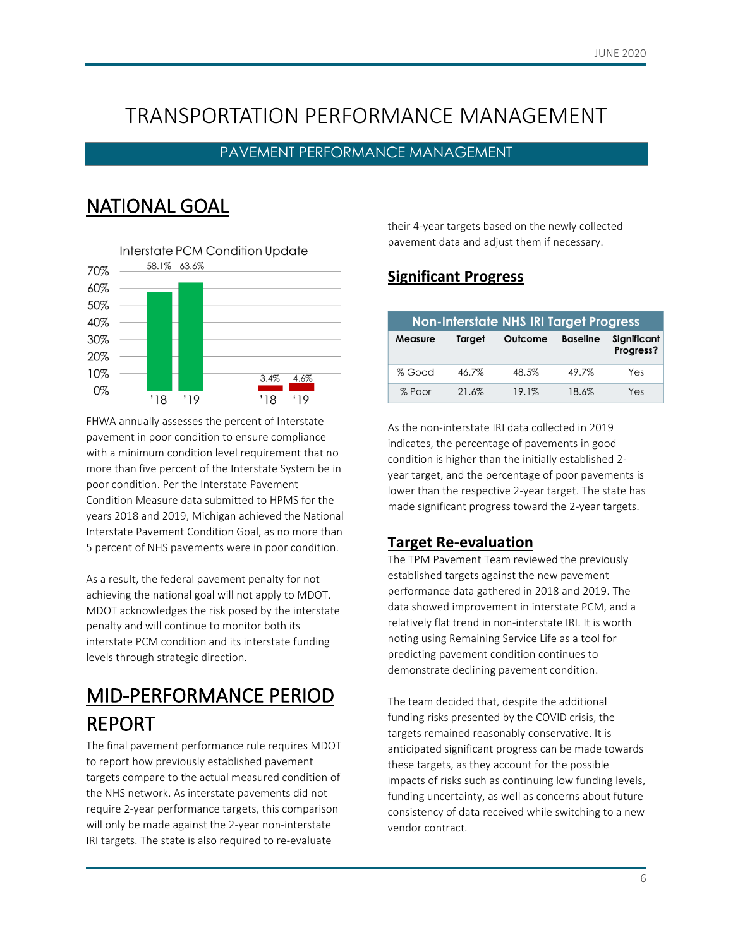## TRANSPORTATION PERFORMANCE MANAGEMENT

### PAVEMENT PERFORMANCE MANAGEMENT

## NATIONAL GOAL



FHWA annually assesses the percent of Interstate pavement in poor condition to ensure compliance with a minimum condition level requirement that no more than five percent of the Interstate System be in poor condition. Per the Interstate Pavement Condition Measure data submitted to HPMS for the years 2018 and 2019, Michigan achieved the National Interstate Pavement Condition Goal, as no more than 5 percent of NHS pavements were in poor condition.

As a result, the federal pavement penalty for not achieving the national goal will not apply to MDOT. MDOT acknowledges the risk posed by the interstate penalty and will continue to monitor both its interstate PCM condition and its interstate funding levels through strategic direction.

## MID-PERFORMANCE PERIOD REPORT

The final pavement performance rule requires MDOT to report how previously established pavement targets compare to the actual measured condition of the NHS network. As interstate pavements did not require 2-year performance targets, this comparison will only be made against the 2-year non-interstate IRI targets. The state is also required to re-evaluate

their 4-year targets based on the newly collected pavement data and adjust them if necessary.

### **Significant Progress**

| <b>Non-Interstate NHS IRI Target Progress</b> |        |         |                 |                          |  |  |  |
|-----------------------------------------------|--------|---------|-----------------|--------------------------|--|--|--|
| <b>Measure</b>                                | Target | Outcome | <b>Baseline</b> | Significant<br>Progress? |  |  |  |
| % Good                                        | 46.7%  | 48.5%   | 49.7%           | Yes                      |  |  |  |
| % Poor                                        | 21.6%  | 19.1%   | 18.6%           | Yes                      |  |  |  |

As the non-interstate IRI data collected in 2019 indicates, the percentage of pavements in good condition is higher than the initially established 2 year target, and the percentage of poor pavements is lower than the respective 2-year target. The state has made significant progress toward the 2-year targets.

### **Target Re-evaluation**

The TPM Pavement Team reviewed the previously established targets against the new pavement performance data gathered in 2018 and 2019. The data showed improvement in interstate PCM, and a relatively flat trend in non-interstate IRI. It is worth noting using Remaining Service Life as a tool for predicting pavement condition continues to demonstrate declining pavement condition.

The team decided that, despite the additional funding risks presented by the COVID crisis, the targets remained reasonably conservative. It is anticipated significant progress can be made towards these targets, as they account for the possible impacts of risks such as continuing low funding levels, funding uncertainty, as well as concerns about future consistency of data received while switching to a new vendor contract.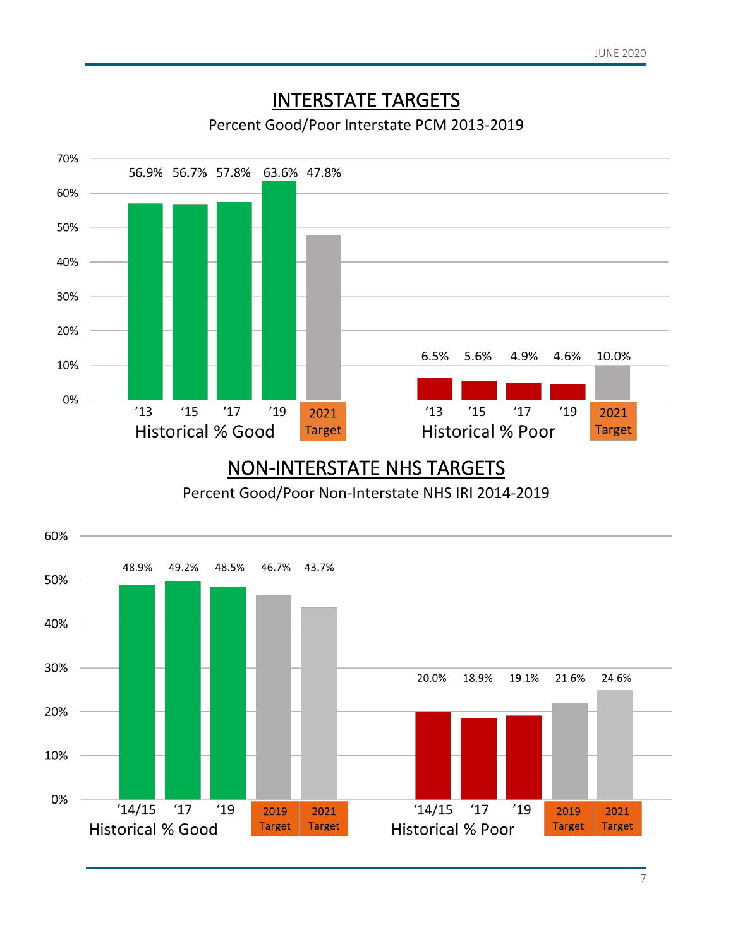

## NON-INTERSTATE NHS TARGETS

Percent Good/Poor Non-Interstate NHS IRI 2014-2019